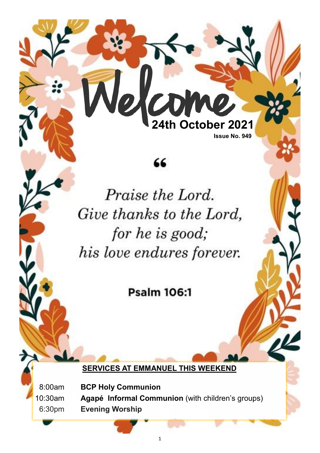**Issue No. 949**

**24th October 2021**

# 66

elco

Praise the Lord. Give thanks to the Lord, for he is good; his love endures forever.

**Psalm 106:1** 

**SERVICES AT EMMANUEL THIS WEEKEND**

08:00am **BCP Holy Communion** 10:30am **Agapé Informal Communion** (with children's groups) 06:30pm **Evening Worship**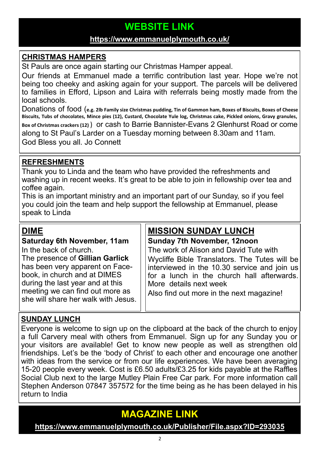## **WEBSITE LINK**

### **<https://www.emmanuelplymouth.co.uk/>**

### **CHRISTMAS HAMPERS**

St Pauls are once again starting our Christmas Hamper appeal.

Our friends at Emmanuel made a terrific contribution last year. Hope we're not being too cheeky and asking again for your support. The parcels will be delivered to families in Efford, Lipson and Laira with referrals being mostly made from the local schools.

Donations of food (**e.g. 2lb Family size Christmas pudding, Tin of Gammon ham, Boxes of Biscuits, Boxes of Cheese Biscuits, Tubs of chocolates, Mince pies (12), Custard, Chocolate Yule log, Christmas cake, Pickled onions, Gravy granules, Box of Christmas crackers (12)** ) or cash to Barrie Bannister-Evans 2 Glenhurst Road or come along to St Paul's Larder on a Tuesday morning between 8.30am and 11am. God Bless you all. Jo Connett

#### **REFRESHMENTS**

Thank you to Linda and the team who have provided the refreshments and washing up in recent weeks. It's great to be able to join in fellowship over tea and coffee again.

This is an important ministry and an important part of our Sunday, so if you feel you could join the team and help support the fellowship at Emmanuel, please speak to Linda

### **DIME**

## **Saturday 6th November, 11am**

In the back of church.

The presence of **Gillian Garlick**  has been very apparent on Facebook, in church and at DIMES during the last year and at this meeting we can find out more as she will share her walk with Jesus.

### **MISSION SUNDAY LUNCH**

**Sunday 7th November, 12noon** The work of Alison and David Tute with Wycliffe Bible Translators. The Tutes will be interviewed in the 10.30 service and join us for a lunch in the church hall afterwards. More details next week

Also find out more in the next magazine!

### **SUNDAY LUNCH**

Everyone is welcome to sign up on the clipboard at the back of the church to enjoy a full Carvery meal with others from Emmanuel. Sign up for any Sunday you or your visitors are available! Get to know new people as well as strengthen old friendships. Let's be the 'body of Christ' to each other and encourage one another with ideas from the service or from our life experiences. We have been averaging 15-20 people every week. Cost is £6.50 adults/£3.25 for kids payable at the Raffles Social Club next to the large Mutley Plain Free Car park. For more information call Stephen Anderson 07847 357572 for the time being as he has been delayed in his return to India

## **MAGAZINE LINK**

**<https://www.emmanuelplymouth.co.uk/Publisher/File.aspx?ID=293035>**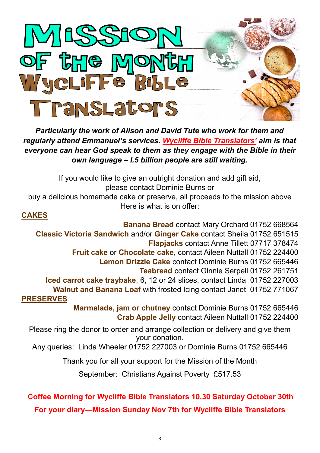

*Particularly the work of Alison and David Tute who work for them and regularly attend Emmanuel's services. [Wycliffe Bible Translators](https://www.wycliffe.org.uk/about/our-story/)' aim is that everyone can hear God speak to them as they engage with the Bible in their own language – I.5 billion people are still waiting.* 

If you would like to give an outright donation and add gift aid, please contact Dominie Burns or buy a delicious homemade cake or preserve, all proceeds to the mission above Here is what is on offer:

### **CAKES**

**Banana Bread** contact Mary Orchard 01752 668564 **Classic Victoria Sandwich** and/or **Ginger Cake** contact Sheila 01752 651515 **Flapjacks** contact Anne Tillett 07717 378474 **Fruit cake** or **Chocolate cake**, contact Aileen Nuttall 01752 224400 **Lemon Drizzle Cake** contact Dominie Burns 01752 665446 **Teabread** contact Ginnie Serpell 01752 261751 **Iced carrot cake traybake**, 6, 12 or 24 slices, contact Linda 01752 227003 **Walnut and Banana Loaf** with frosted Icing contact Janet 01752 771067 **PRESERVES Marmalade, jam or chutney** contact Dominie Burns 01752 665446 **Crab Apple Jelly** contact Aileen Nuttall 01752 224400

Please ring the donor to order and arrange collection or delivery and give them your donation.

Any queries: Linda Wheeler 01752 227003 or Dominie Burns 01752 665446

Thank you for all your support for the Mission of the Month

September: Christians Against Poverty £517.53

## **Coffee Morning for Wycliffe Bible Translators 10.30 Saturday October 30th For your diary—Mission Sunday Nov 7th for Wycliffe Bible Translators**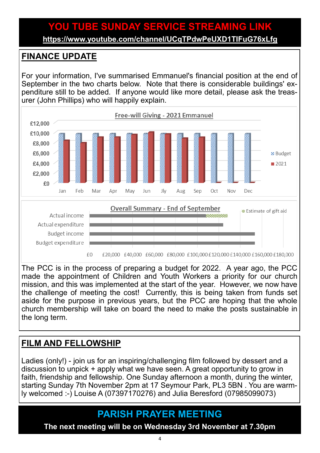# **YOU TUBE SUNDAY SERVICE STREAMING LINK**

**<https://www.youtube.com/channel/UCqTPdwPeUXD1TIFuG76xLfg>**

## **FINANCE UPDATE**

For your information, I've summarised Emmanuel's financial position at the end of September in the two charts below. Note that there is considerable buildings' expenditure still to be added. If anyone would like more detail, please ask the treasurer (John Phillips) who will happily explain.



The PCC is in the process of preparing a budget for 2022. A year ago, the PCC made the appointment of Children and Youth Workers a priority for our church mission, and this was implemented at the start of the year. However, we now have the challenge of meeting the cost! Currently, this is being taken from funds set aside for the purpose in previous years, but the PCC are hoping that the whole church membership will take on board the need to make the posts sustainable in the long term.

## **FILM AND FELLOWSHIP**

Ladies (only!) - join us for an inspiring/challenging film followed by dessert and a discussion to unpick + apply what we have seen. A great opportunity to grow in faith, friendship and fellowship. One Sunday afternoon a month, during the winter, starting Sunday 7th November 2pm at 17 Seymour Park, PL3 5BN . You are warmly welcomed :-) Louise A (07397170276) and Julia Beresford (07985099073)

## **PARISH PRAYER MEETING**

**The next meeting will be on Wednesday 3rd November at 7.30pm**